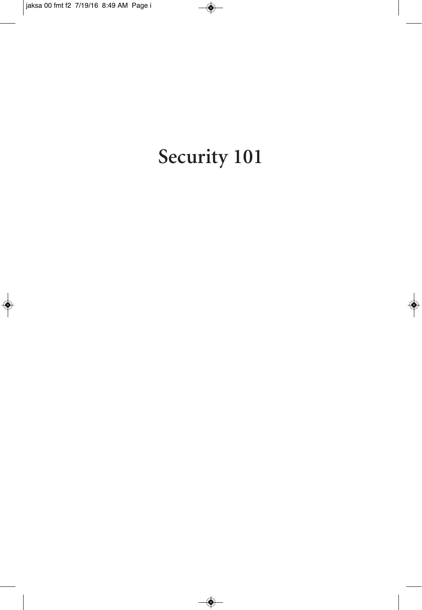# Security 101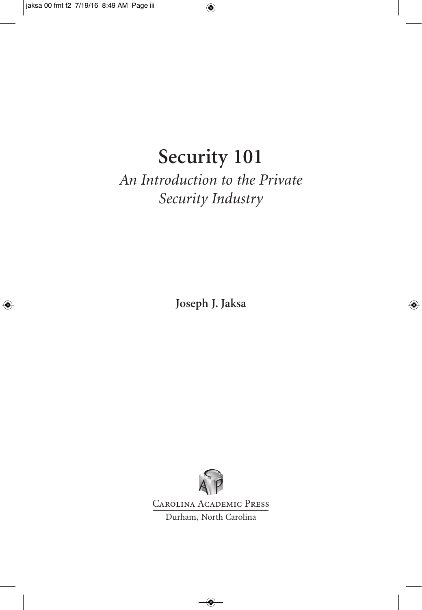# **Security 101**

#### *An Introduction to the Private Security Industry*

**Joseph J. Jaksa**



Carolina Academic Press Durham, North Carolina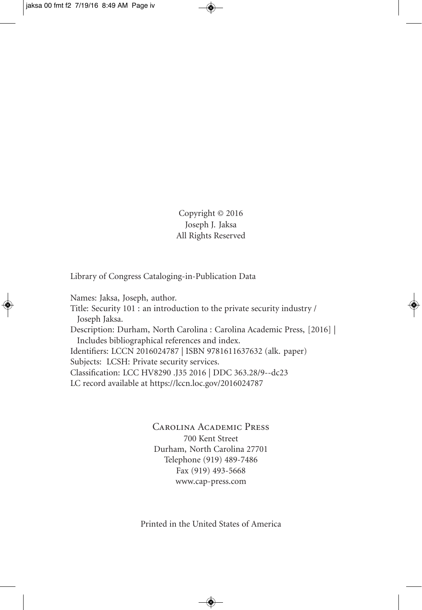Copyright © 2016 Joseph J. Jaksa All Rights Reserved

Library of Congress Cataloging-in-Publication Data

Names: Jaksa, Joseph, author.

Title: Security 101 : an introduction to the private security industry / Joseph Jaksa. Description: Durham, North Carolina : Carolina Academic Press, [2016] | Includes bibliographical references and index. Identifiers: LCCN 2016024787 | ISBN 9781611637632 (alk. paper) Subjects: LCSH: Private security services. Classification: LCC HV8290 .J35 2016 | DDC 363.28/9--dc23 LC record available at https://lccn.loc.gov/2016024787

> Carolina Academic Press 700 Kent Street Durham, North Carolina 27701 Telephone (919) 489-7486 Fax (919) 493-5668 www.cap-press.com

Printed in the United States of America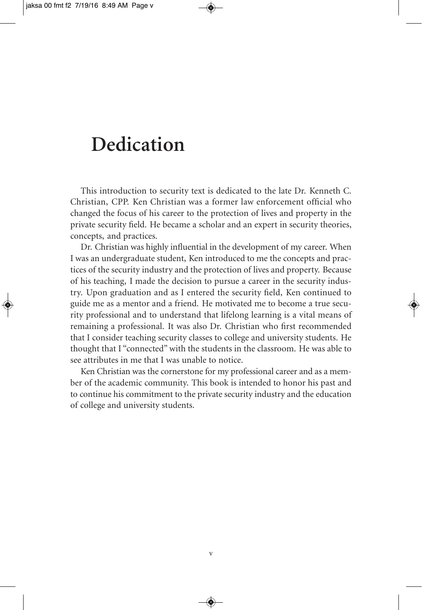## **Dedication**

This introduction to security text is dedicated to the late Dr. Kenneth C. Christian, CPP. Ken Christian was a former law enforcement official who changed the focus of his career to the protection of lives and property in the private security field. He became a scholar and an expert in security theories, concepts, and practices.

Dr. Christian was highly influential in the development of my career. When I was an undergraduate student, Ken introduced to me the concepts and practices of the security industry and the protection of lives and property. Because of his teaching, I made the decision to pursue a career in the security industry. Upon graduation and as I entered the security field, Ken continued to guide me as a mentor and a friend. He motivated me to become a true security professional and to understand that lifelong learning is a vital means of remaining a professional. It was also Dr. Christian who first recommended that I consider teaching security classes to college and university students. He thought that I "connected" with the students in the classroom. He was able to see attributes in me that I was unable to notice.

Ken Christian was the cornerstone for my professional career and as a member of the academic community. This book is intended to honor his past and to continue his commitment to the private security industry and the education of college and university students.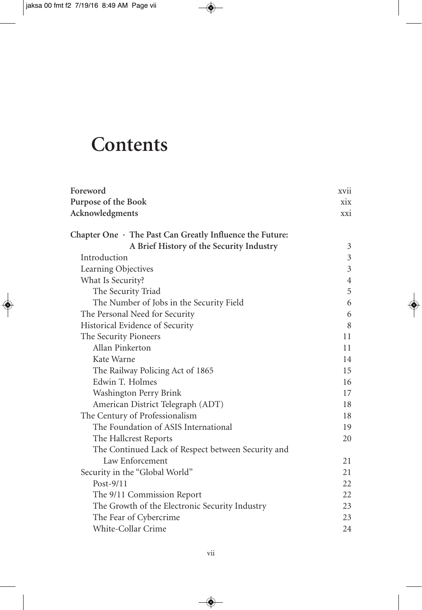## **Contents**

| Foreword                                                       | XV11           |
|----------------------------------------------------------------|----------------|
| Purpose of the Book                                            | xix            |
| Acknowledgments                                                | xxi            |
| Chapter One $\cdot$ The Past Can Greatly Influence the Future: |                |
| A Brief History of the Security Industry                       | 3              |
| Introduction                                                   | $\mathfrak{Z}$ |
| Learning Objectives                                            | $\overline{3}$ |
| What Is Security?                                              | $\overline{4}$ |
| The Security Triad                                             | 5              |
| The Number of Jobs in the Security Field                       | 6              |
| The Personal Need for Security                                 | 6              |
| Historical Evidence of Security                                | 8              |
| The Security Pioneers                                          | 11             |
| Allan Pinkerton                                                | 11             |
| Kate Warne                                                     | 14             |
| The Railway Policing Act of 1865                               | 15             |
| Edwin T. Holmes                                                | 16             |
| Washington Perry Brink                                         | 17             |
| American District Telegraph (ADT)                              | 18             |
| The Century of Professionalism                                 | 18             |
| The Foundation of ASIS International                           | 19             |
| The Hallcrest Reports                                          | 20             |
| The Continued Lack of Respect between Security and             |                |
| Law Enforcement                                                | 21             |
| Security in the "Global World"                                 | 21             |
| Post- $9/11$                                                   | 22             |
| The 9/11 Commission Report                                     | 22             |
| The Growth of the Electronic Security Industry                 | 23             |
| The Fear of Cybercrime                                         | 23             |
| White-Collar Crime                                             | 24             |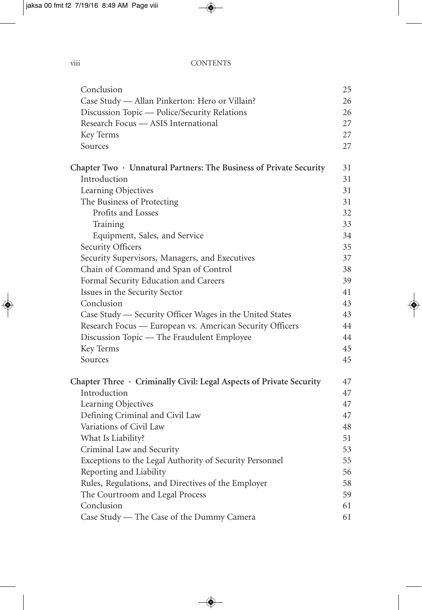viii CONTENTS

| Conclusion                                                          | 25 |
|---------------------------------------------------------------------|----|
| Case Study - Allan Pinkerton: Hero or Villain?                      | 26 |
| Discussion Topic - Police/Security Relations                        | 26 |
| Research Focus - ASIS International                                 | 27 |
| Key Terms                                                           | 27 |
| Sources                                                             | 27 |
| Chapter Two · Unnatural Partners: The Business of Private Security  | 31 |
| Introduction                                                        | 31 |
| Learning Objectives                                                 | 31 |
| The Business of Protecting                                          | 31 |
| Profits and Losses                                                  | 32 |
| Training                                                            | 33 |
| Equipment, Sales, and Service                                       | 34 |
| Security Officers                                                   | 35 |
| Security Supervisors, Managers, and Executives                      | 37 |
| Chain of Command and Span of Control                                | 38 |
| Formal Security Education and Careers                               | 39 |
| Issues in the Security Sector                                       | 41 |
| Conclusion                                                          | 43 |
| Case Study — Security Officer Wages in the United States            | 43 |
| Research Focus — European vs. American Security Officers            | 44 |
| Discussion Topic - The Fraudulent Employee                          | 44 |
| Key Terms                                                           | 45 |
| Sources                                                             | 45 |
| Chapter Three · Criminally Civil: Legal Aspects of Private Security | 47 |
| Introduction                                                        | 47 |
| Learning Objectives                                                 | 47 |
| Defining Criminal and Civil Law                                     | 47 |
| Variations of Civil Law                                             | 48 |
| What Is Liability?                                                  | 51 |
| Criminal Law and Security                                           | 53 |
| Exceptions to the Legal Authority of Security Personnel             | 55 |
| Reporting and Liability                                             | 56 |
| Rules, Regulations, and Directives of the Employer                  | 58 |
| The Courtroom and Legal Process                                     | 59 |
| Conclusion                                                          | 61 |
| Case Study — The Case of the Dummy Camera                           | 61 |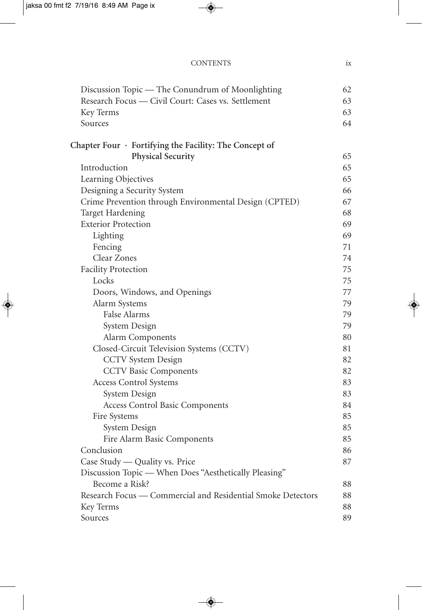| Discussion Topic — The Conundrum of Moonlighting             | 62 |
|--------------------------------------------------------------|----|
| Research Focus - Civil Court: Cases vs. Settlement           | 63 |
| Key Terms                                                    | 63 |
| Sources                                                      | 64 |
| Chapter Four $\cdot$ Fortifying the Facility: The Concept of |    |
| <b>Physical Security</b>                                     | 65 |
| Introduction                                                 | 65 |
| Learning Objectives                                          | 65 |
| Designing a Security System                                  | 66 |
| Crime Prevention through Environmental Design (CPTED)        | 67 |
| <b>Target Hardening</b>                                      | 68 |
| <b>Exterior Protection</b>                                   | 69 |
| Lighting                                                     | 69 |
| Fencing                                                      | 71 |
| Clear Zones                                                  | 74 |
| <b>Facility Protection</b>                                   | 75 |
| Locks                                                        | 75 |
| Doors, Windows, and Openings                                 | 77 |
| Alarm Systems                                                | 79 |
| <b>False Alarms</b>                                          | 79 |
| System Design                                                | 79 |
| Alarm Components                                             | 80 |
| Closed-Circuit Television Systems (CCTV)                     | 81 |
| <b>CCTV</b> System Design                                    | 82 |
| <b>CCTV</b> Basic Components                                 | 82 |
| <b>Access Control Systems</b>                                | 83 |
| System Design                                                | 83 |
| Access Control Basic Components                              | 84 |
| Fire Systems                                                 | 85 |
| System Design                                                | 85 |
| Fire Alarm Basic Components                                  | 85 |
| Conclusion                                                   | 86 |
| Case Study — Quality vs. Price                               | 87 |
| Discussion Topic - When Does "Aesthetically Pleasing"        |    |
| Become a Risk?                                               | 88 |
| Research Focus — Commercial and Residential Smoke Detectors  | 88 |
| Key Terms                                                    | 88 |

Sources 89

CONTENTS ix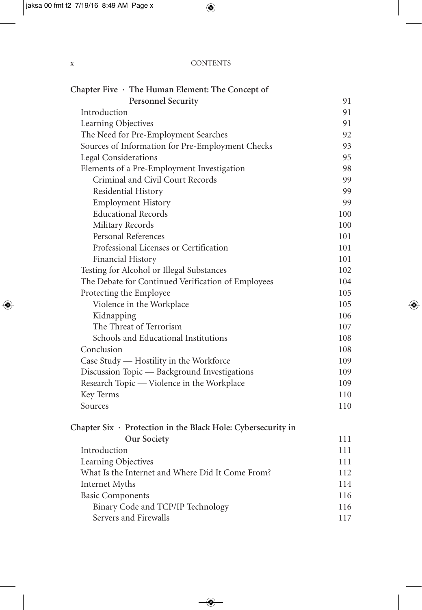| $\mathbf{v}$<br>A | <b>CONTENTS</b> |
|-------------------|-----------------|
|                   |                 |

| Chapter Five · The Human Element: The Concept of                   |          |
|--------------------------------------------------------------------|----------|
| <b>Personnel Security</b><br>Introduction                          | 91<br>91 |
| Learning Objectives                                                | 91       |
| The Need for Pre-Employment Searches                               | 92       |
| Sources of Information for Pre-Employment Checks                   | 93       |
| Legal Considerations                                               | 95       |
| Elements of a Pre-Employment Investigation                         | 98       |
| Criminal and Civil Court Records                                   | 99       |
| Residential History                                                | 99       |
| <b>Employment History</b>                                          | 99       |
| <b>Educational Records</b>                                         | 100      |
| Military Records                                                   | 100      |
| Personal References                                                | 101      |
| Professional Licenses or Certification                             | 101      |
| Financial History                                                  | 101      |
| Testing for Alcohol or Illegal Substances                          | 102      |
| The Debate for Continued Verification of Employees                 | 104      |
| Protecting the Employee                                            | 105      |
| Violence in the Workplace                                          | 105      |
| Kidnapping                                                         | 106      |
| The Threat of Terrorism                                            | 107      |
| Schools and Educational Institutions                               | 108      |
| Conclusion                                                         | 108      |
| Case Study — Hostility in the Workforce                            | 109      |
| Discussion Topic — Background Investigations                       | 109      |
| Research Topic — Violence in the Workplace                         | 109      |
| Key Terms                                                          | 110      |
| Sources                                                            | 110      |
| Chapter Six $\cdot$ Protection in the Black Hole: Cybersecurity in |          |
| Our Society                                                        | 111      |
| Introduction                                                       | 111      |
| Learning Objectives                                                | 111      |
| What Is the Internet and Where Did It Come From?                   | 112      |
| Internet Myths                                                     | 114      |
| <b>Basic Components</b>                                            | 116      |
| Binary Code and TCP/IP Technology                                  | 116      |
| Servers and Firewalls                                              | 117      |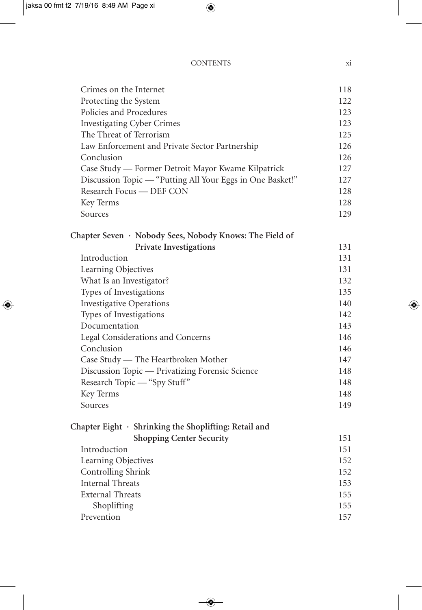#### CONTENTS xi

| Crimes on the Internet                                    | 118 |
|-----------------------------------------------------------|-----|
| Protecting the System                                     | 122 |
| Policies and Procedures                                   | 123 |
| <b>Investigating Cyber Crimes</b>                         | 123 |
| The Threat of Terrorism                                   | 125 |
| Law Enforcement and Private Sector Partnership            | 126 |
| Conclusion                                                | 126 |
| Case Study - Former Detroit Mayor Kwame Kilpatrick        | 127 |
| Discussion Topic — "Putting All Your Eggs in One Basket!" | 127 |
| Research Focus - DEF CON                                  | 128 |
| Key Terms                                                 | 128 |
| Sources                                                   | 129 |
|                                                           |     |
| Chapter Seven · Nobody Sees, Nobody Knows: The Field of   |     |
| <b>Private Investigations</b>                             | 131 |
| Introduction                                              | 131 |
| Learning Objectives                                       | 131 |
| What Is an Investigator?                                  | 132 |
| Types of Investigations                                   | 135 |
| <b>Investigative Operations</b>                           | 140 |
| Types of Investigations                                   | 142 |
| Documentation                                             | 143 |
| Legal Considerations and Concerns                         | 146 |
| Conclusion                                                | 146 |
| Case Study — The Heartbroken Mother                       | 147 |
| Discussion Topic - Privatizing Forensic Science           | 148 |
| Research Topic - "Spy Stuff"                              | 148 |
| Key Terms                                                 | 148 |
| Sources                                                   | 149 |
|                                                           |     |
| Chapter Eight · Shrinking the Shoplifting: Retail and     |     |
| <b>Shopping Center Security</b>                           | 151 |
| Introduction                                              | 151 |
| Learning Objectives                                       | 152 |
| Controlling Shrink                                        | 152 |
| <b>Internal Threats</b>                                   | 153 |
| <b>External Threats</b>                                   | 155 |
| Shoplifting                                               | 155 |
| Prevention                                                | 157 |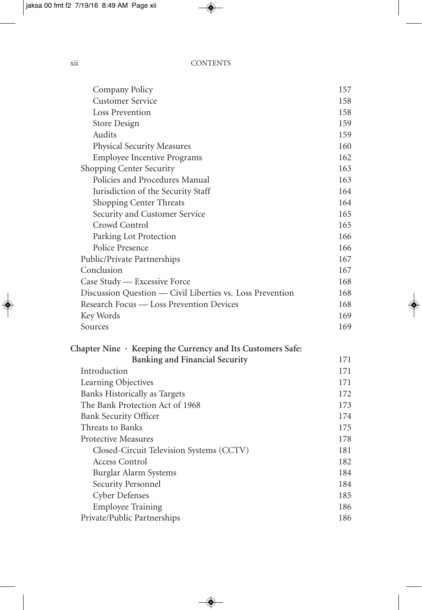| Company Policy                                              | 157 |
|-------------------------------------------------------------|-----|
| <b>Customer Service</b>                                     | 158 |
| Loss Prevention                                             | 158 |
| Store Design                                                | 159 |
| Audits                                                      | 159 |
| Physical Security Measures                                  | 160 |
| <b>Employee Incentive Programs</b>                          | 162 |
| Shopping Center Security                                    | 163 |
| Policies and Procedures Manual                              | 163 |
| Jurisdiction of the Security Staff                          | 164 |
| Shopping Center Threats                                     | 164 |
| Security and Customer Service                               | 165 |
| Crowd Control                                               | 165 |
| Parking Lot Protection                                      | 166 |
| Police Presence                                             | 166 |
| Public/Private Partnerships                                 | 167 |
| Conclusion                                                  | 167 |
| Case Study — Excessive Force                                | 168 |
| Discussion Question — Civil Liberties vs. Loss Prevention   | 168 |
| Research Focus — Loss Prevention Devices                    | 168 |
| Key Words                                                   | 169 |
| Sources                                                     | 169 |
| Chapter Nine · Keeping the Currency and Its Customers Safe: |     |
| <b>Banking and Financial Security</b>                       | 171 |
| Introduction                                                | 171 |
| Learning Objectives                                         | 171 |
| Banks Historically as Targets                               | 172 |
| The Bank Protection Act of 1968                             | 173 |
| <b>Bank Security Officer</b>                                | 174 |
| Threats to Banks                                            | 175 |
| <b>Protective Measures</b>                                  | 178 |
| Closed-Circuit Television Systems (CCTV)                    | 181 |
| <b>Access Control</b>                                       | 182 |
| Burglar Alarm Systems                                       | 184 |
| Security Personnel                                          | 184 |
| <b>Cyber Defenses</b>                                       | 185 |
| <b>Employee Training</b>                                    | 186 |
| Private/Public Partnerships                                 | 186 |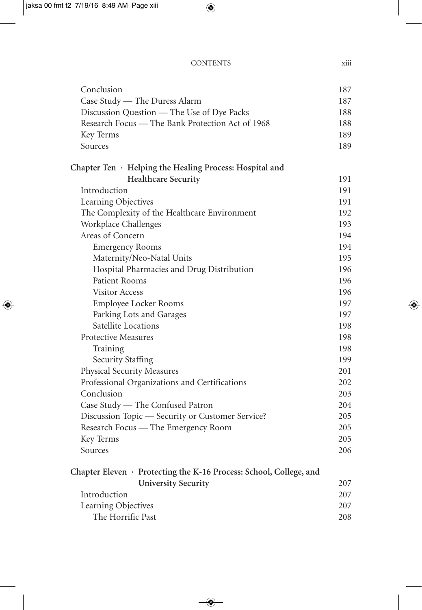|  | <b>CONTENTS</b> |  |
|--|-----------------|--|
|  |                 |  |

| Conclusion                                                         | 187 |
|--------------------------------------------------------------------|-----|
| Case Study — The Duress Alarm                                      | 187 |
| Discussion Question - The Use of Dye Packs                         | 188 |
| Research Focus — The Bank Protection Act of 1968                   | 188 |
| Key Terms                                                          | 189 |
| Sources                                                            | 189 |
| Chapter Ten $\cdot$ Helping the Healing Process: Hospital and      |     |
| <b>Healthcare Security</b>                                         | 191 |
| Introduction                                                       | 191 |
| Learning Objectives                                                | 191 |
| The Complexity of the Healthcare Environment                       | 192 |
| Workplace Challenges                                               | 193 |
| Areas of Concern                                                   | 194 |
| <b>Emergency Rooms</b>                                             | 194 |
| Maternity/Neo-Natal Units                                          | 195 |
| Hospital Pharmacies and Drug Distribution                          | 196 |
| Patient Rooms                                                      | 196 |
| <b>Visitor Access</b>                                              | 196 |
| Employee Locker Rooms                                              | 197 |
| Parking Lots and Garages                                           | 197 |
| Satellite Locations                                                | 198 |
| <b>Protective Measures</b>                                         | 198 |
| Training                                                           | 198 |
| <b>Security Staffing</b>                                           | 199 |
| Physical Security Measures                                         | 201 |
| Professional Organizations and Certifications                      | 202 |
| Conclusion                                                         | 203 |
| Case Study - The Confused Patron                                   | 204 |
| Discussion Topic - Security or Customer Service?                   | 205 |
| Research Focus — The Emergency Room                                | 205 |
| Key Terms                                                          | 205 |
| Sources                                                            | 206 |
| Chapter Eleven · Protecting the K-16 Process: School, College, and |     |
| <b>University Security</b>                                         | 207 |
| Introduction                                                       | 207 |
| Learning Objectives                                                | 207 |
| The Horrific Past                                                  | 208 |

TS xiii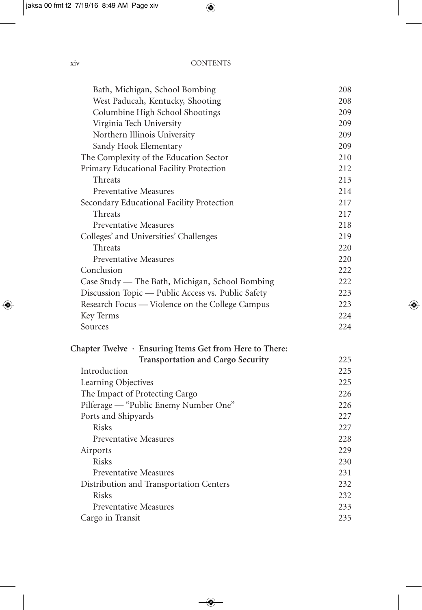| Bath, Michigan, School Bombing                                | 208 |
|---------------------------------------------------------------|-----|
| West Paducah, Kentucky, Shooting                              | 208 |
| Columbine High School Shootings                               | 209 |
| Virginia Tech University                                      | 209 |
| Northern Illinois University                                  | 209 |
| Sandy Hook Elementary                                         | 209 |
| The Complexity of the Education Sector                        | 210 |
| Primary Educational Facility Protection                       | 212 |
| Threats                                                       | 213 |
| <b>Preventative Measures</b>                                  | 214 |
| Secondary Educational Facility Protection                     | 217 |
| Threats                                                       | 217 |
| <b>Preventative Measures</b>                                  | 218 |
| Colleges' and Universities' Challenges                        | 219 |
| Threats                                                       | 220 |
| <b>Preventative Measures</b>                                  | 220 |
| Conclusion                                                    | 222 |
| Case Study - The Bath, Michigan, School Bombing               | 222 |
| Discussion Topic — Public Access vs. Public Safety            | 223 |
| Research Focus — Violence on the College Campus               | 223 |
| Key Terms                                                     | 224 |
| Sources                                                       | 224 |
| Chapter Twelve $\cdot$ Ensuring Items Get from Here to There: |     |
| <b>Transportation and Cargo Security</b>                      | 225 |
| Introduction                                                  | 225 |
| Learning Objectives                                           | 225 |
| The Impact of Protecting Cargo                                | 226 |
| Pilferage — "Public Enemy Number One"                         | 226 |
| Ports and Shipyards                                           | 227 |
| <b>Risks</b>                                                  | 227 |
| <b>Preventative Measures</b>                                  | 228 |
| Airports                                                      | 229 |
| <b>Risks</b>                                                  | 230 |
| <b>Preventative Measures</b>                                  | 231 |
| Distribution and Transportation Centers                       | 232 |
| <b>Risks</b>                                                  | 232 |
| <b>Preventative Measures</b>                                  | 233 |
| Cargo in Transit                                              | 235 |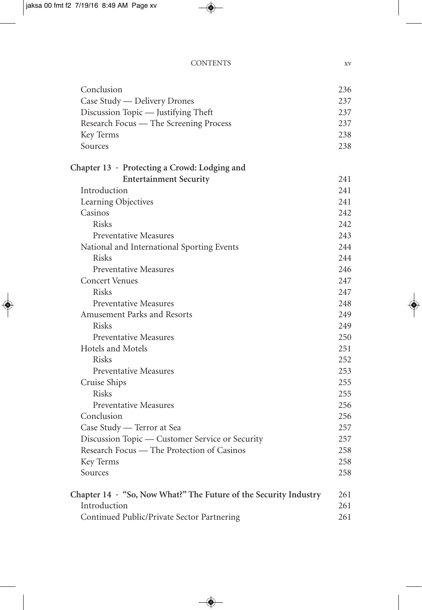| Conclusion                                                       | 236  |
|------------------------------------------------------------------|------|
| Case Study — Delivery Drones                                     | 237  |
| Discussion Topic - Justifying Theft                              | 237  |
| Research Focus — The Screening Process                           | 237  |
| Key Terms                                                        | 238  |
| Sources                                                          | 238  |
| Chapter 13 · Protecting a Crowd: Lodging and                     |      |
| <b>Entertainment Security</b>                                    | 241  |
| Introduction                                                     | 2.41 |
| Learning Objectives                                              | 241  |
| Casinos                                                          | 242  |
| <b>Risks</b>                                                     | 242  |
| Preventative Measures                                            | 243  |
| National and International Sporting Events                       | 244  |
| Risks                                                            | 2.44 |
| <b>Preventative Measures</b>                                     | 246  |
| <b>Concert Venues</b>                                            | 247  |
| <b>Risks</b>                                                     | 247  |
| <b>Preventative Measures</b>                                     | 248  |
| <b>Amusement Parks and Resorts</b>                               | 249  |
| <b>Risks</b>                                                     | 249  |
| <b>Preventative Measures</b>                                     | 250  |
| Hotels and Motels                                                | 251  |
| <b>Risks</b>                                                     | 252  |
| <b>Preventative Measures</b>                                     | 253  |
| Cruise Ships                                                     | 255  |
| <b>Risks</b>                                                     | 255  |
| <b>Preventative Measures</b>                                     | 256  |
| Conclusion                                                       | 256  |
| Case Study - Terror at Sea                                       | 257  |
| Discussion Topic — Customer Service or Security                  | 257  |
| Research Focus — The Protection of Casinos                       | 258  |
| Key Terms                                                        | 258  |
| Sources                                                          | 258  |
| Chapter 14 · "So, Now What?" The Future of the Security Industry | 261  |
| Introduction                                                     | 261  |
| Continued Public/Private Sector Partnering                       | 261  |
|                                                                  |      |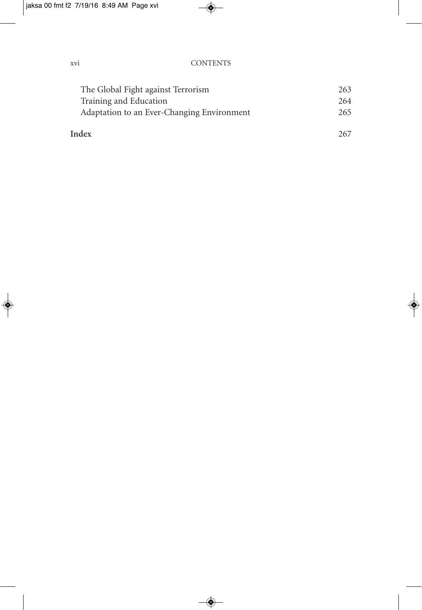| The Global Fight against Terrorism         | 263 |
|--------------------------------------------|-----|
| Training and Education                     | 264 |
| Adaptation to an Ever-Changing Environment | 265 |
| Index                                      | 267 |
|                                            |     |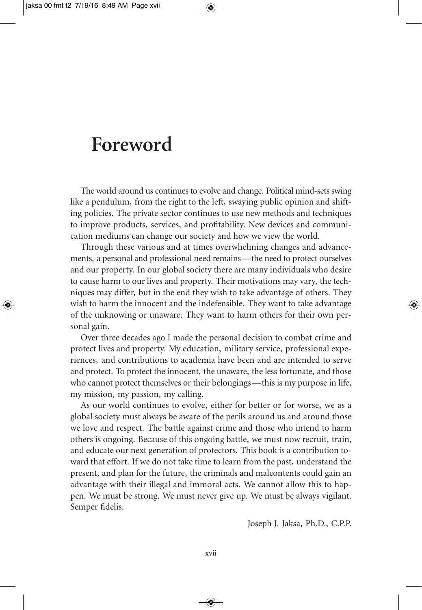#### **Foreword**

The world around us continues to evolve and change. Political mind-sets swing like a pendulum, from the right to the left, swaying public opinion and shifting policies. The private sector continues to use new methods and techniques to improve products, services, and profitability. New devices and communication mediums can change our society and how we view the world.

Through these various and at times overwhelming changes and advancements, a personal and professional need remains—the need to protect ourselves and our property. In our global society there are many individuals who desire to cause harm to our lives and property. Their motivations may vary, the techniques may differ, but in the end they wish to take advantage of others. They wish to harm the innocent and the indefensible. They want to take advantage of the unknowing or unaware. They want to harm others for their own personal gain.

Over three decades ago I made the personal decision to combat crime and protect lives and property. My education, military service, professional experiences, and contributions to academia have been and are intended to serve and protect. To protect the innocent, the unaware, the less fortunate, and those who cannot protect themselves or their belongings—this is my purpose in life, my mission, my passion, my calling.

As our world continues to evolve, either for better or for worse, we as a global society must always be aware of the perils around us and around those we love and respect. The battle against crime and those who intend to harm others is ongoing. Because of this ongoing battle, we must now recruit, train, and educate our next generation of protectors. This book is a contribution toward that effort. If we do not take time to learn from the past, understand the present, and plan for the future, the criminals and malcontents could gain an advantage with their illegal and immoral acts. We cannot allow this to happen. We must be strong. We must never give up. We must be always vigilant. Semper fidelis.

Joseph J. Jaksa, Ph.D., C.P.P.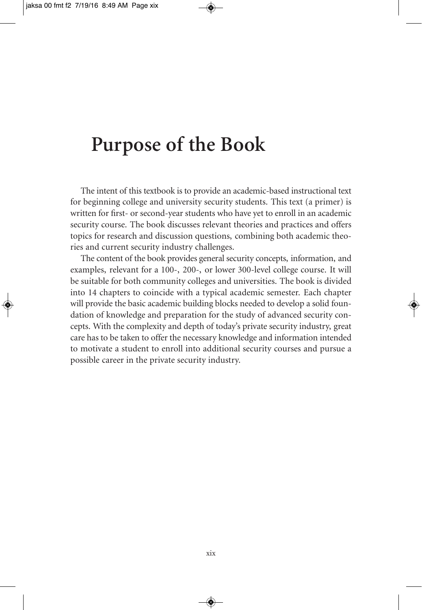#### **Purpose of the Book**

The intent of this textbook is to provide an academic-based instructional text for beginning college and university security students. This text (a primer) is written for first- or second-year students who have yet to enroll in an academic security course. The book discusses relevant theories and practices and offers topics for research and discussion questions, combining both academic theories and current security industry challenges.

The content of the book provides general security concepts, information, and examples, relevant for a 100-, 200-, or lower 300-level college course. It will be suitable for both community colleges and universities. The book is divided into 14 chapters to coincide with a typical academic semester. Each chapter will provide the basic academic building blocks needed to develop a solid foundation of knowledge and preparation for the study of advanced security concepts. With the complexity and depth of today's private security industry, great care has to be taken to offer the necessary knowledge and information intended to motivate a student to enroll into additional security courses and pursue a possible career in the private security industry.